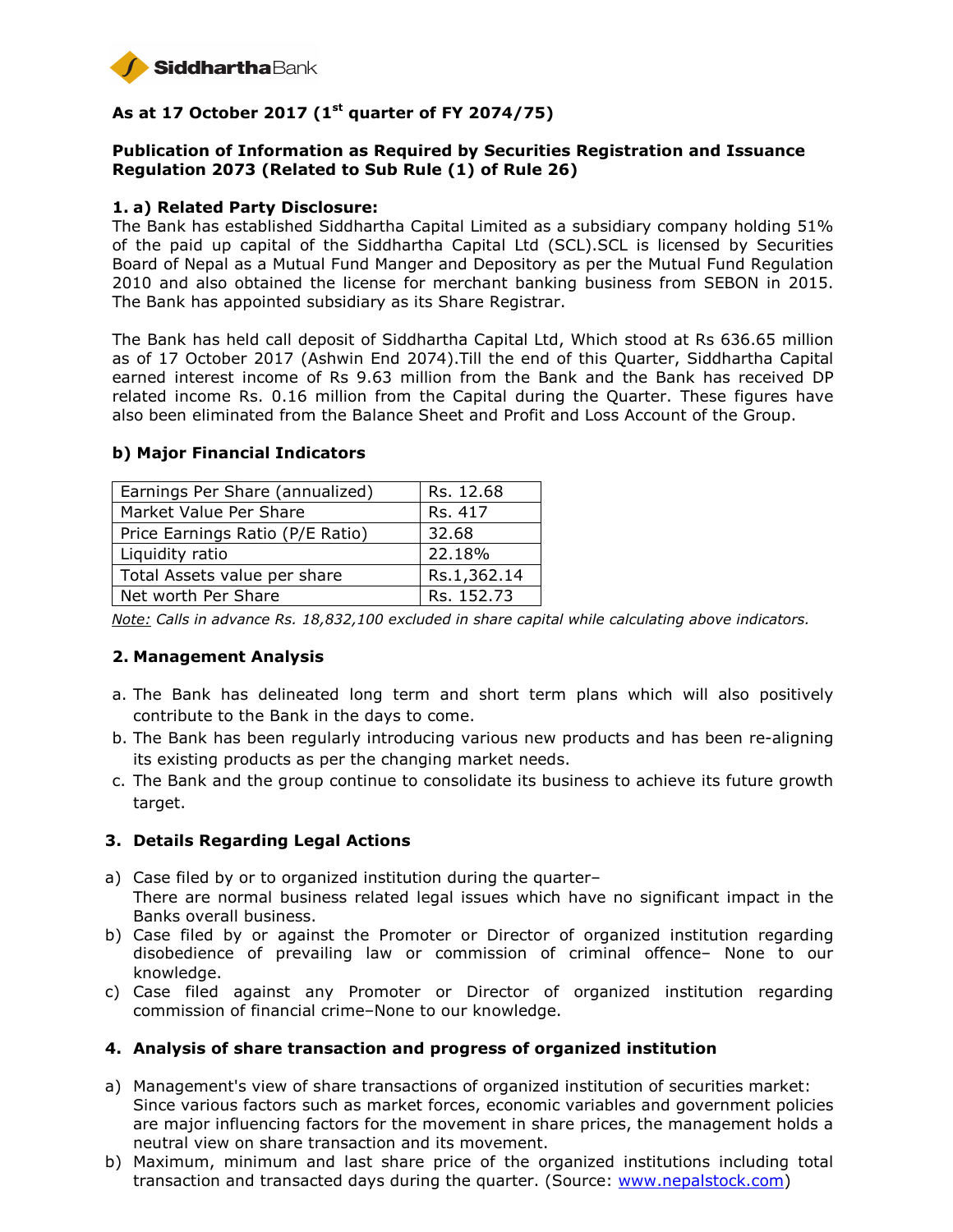

# **As at 17 October 2017 (1st quarter of FY 2074/75)**

### **Publication of Information as Required by Securities Registration and Issuance Regulation 2073 (Related to Sub Rule (1) of Rule 26)**

#### **1. a) Related Party Disclosure:**

The Bank has established Siddhartha Capital Limited as a subsidiary company holding 51% of the paid up capital of the Siddhartha Capital Ltd (SCL).SCL is licensed by Securities Board of Nepal as a Mutual Fund Manger and Depository as per the Mutual Fund Regulation 2010 and also obtained the license for merchant banking business from SEBON in 2015. The Bank has appointed subsidiary as its Share Registrar.

The Bank has held call deposit of Siddhartha Capital Ltd, Which stood at Rs 636.65 million as of 17 October 2017 (Ashwin End 2074).Till the end of this Quarter, Siddhartha Capital earned interest income of Rs 9.63 million from the Bank and the Bank has received DP related income Rs. 0.16 million from the Capital during the Quarter. These figures have also been eliminated from the Balance Sheet and Profit and Loss Account of the Group.

| Earnings Per Share (annualized)  | Rs. 12.68   |
|----------------------------------|-------------|
| Market Value Per Share           | Rs. 417     |
| Price Earnings Ratio (P/E Ratio) | 32.68       |
| Liquidity ratio                  | 22.18%      |
| Total Assets value per share     | Rs.1,362.14 |
| Net worth Per Share              | Rs. 152.73  |

#### **b) Major Financial Indicators**

*Note: Calls in advance Rs. 18,832,100 excluded in share capital while calculating above indicators.* 

### **2. Management Analysis**

- a. The Bank has delineated long term and short term plans which will also positively contribute to the Bank in the days to come.
- b. The Bank has been regularly introducing various new products and has been re-aligning its existing products as per the changing market needs.
- c. The Bank and the group continue to consolidate its business to achieve its future growth target.

### **3. Details Regarding Legal Actions**

- a) Case filed by or to organized institution during the quarter– There are normal business related legal issues which have no significant impact in the Banks overall business.
- b) Case filed by or against the Promoter or Director of organized institution regarding disobedience of prevailing law or commission of criminal offence– None to our knowledge.
- c) Case filed against any Promoter or Director of organized institution regarding commission of financial crime–None to our knowledge.

### **4. Analysis of share transaction and progress of organized institution**

- a) Management's view of share transactions of organized institution of securities market: Since various factors such as market forces, economic variables and government policies are major influencing factors for the movement in share prices, the management holds a neutral view on share transaction and its movement.
- b) Maximum, minimum and last share price of the organized institutions including total transaction and transacted days during the quarter. (Source: www.nepalstock.com)